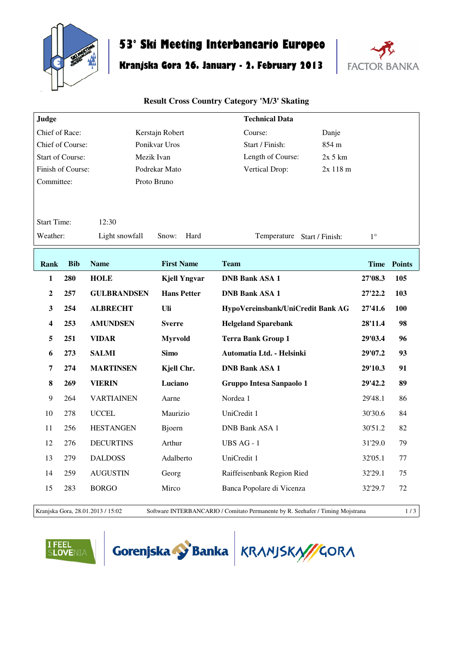

## **53° Ski Meeting Interbancario Europeo**

## **Kranjska Gora 26. January - 2. February 2013**



## **Result Cross Country Category 'M/3' Skating**

| Judge                   |            |                    |                     | <b>Technical Data</b>             |             |             |                    |
|-------------------------|------------|--------------------|---------------------|-----------------------------------|-------------|-------------|--------------------|
| Chief of Race:          |            |                    | Kerstajn Robert     | Course:                           | Danje       |             |                    |
| Chief of Course:        |            |                    | Ponikvar Uros       | Start / Finish:                   | 854 m       |             |                    |
| <b>Start of Course:</b> |            |                    | Mezik Ivan          | Length of Course:                 | $2x$ 5 $km$ |             |                    |
| Finish of Course:       |            |                    | Podrekar Mato       | Vertical Drop:                    | 2x 118 m    |             |                    |
| Committee:              |            |                    | Proto Bruno         |                                   |             |             |                    |
|                         |            |                    |                     |                                   |             |             |                    |
| <b>Start Time:</b>      |            | 12:30              |                     |                                   |             |             |                    |
| Weather:                |            | Light snowfall     | Snow:<br>Hard       | Temperature Start / Finish:       |             | $1^{\circ}$ |                    |
|                         |            |                    |                     |                                   |             |             |                    |
| <b>Rank</b>             | <b>Bib</b> | <b>Name</b>        | <b>First Name</b>   | <b>Team</b>                       |             |             | <b>Time Points</b> |
| 1                       | 280        | <b>HOLE</b>        | <b>Kjell Yngvar</b> | <b>DNB Bank ASA 1</b>             |             | 27'08.3     | 105                |
| $\mathbf{2}$            | 257        | <b>GULBRANDSEN</b> | <b>Hans Petter</b>  | <b>DNB Bank ASA 1</b>             |             | 27'22.2     | 103                |
| 3                       | 254        | <b>ALBRECHT</b>    | Uli                 | HypoVereinsbank/UniCredit Bank AG |             | 27'41.6     | 100                |
| $\overline{\mathbf{4}}$ | 253        | <b>AMUNDSEN</b>    | <b>Sverre</b>       | <b>Helgeland Sparebank</b>        |             | 28'11.4     | 98                 |
| 5                       | 251        | <b>VIDAR</b>       | <b>Myrvold</b>      | <b>Terra Bank Group 1</b>         |             | 29'03.4     | 96                 |
| 6                       | 273        | <b>SALMI</b>       | <b>Simo</b>         | Automatia Ltd. - Helsinki         |             | 29'07.2     | 93                 |
| 7                       | 274        | <b>MARTINSEN</b>   | Kjell Chr.          | <b>DNB Bank ASA 1</b>             |             | 29'10.3     | 91                 |
| 8                       | 269        | <b>VIERIN</b>      | Luciano             | Gruppo Intesa Sanpaolo 1          |             | 29'42.2     | 89                 |
| 9                       | 264        | <b>VARTIAINEN</b>  | Aarne               | Nordea 1                          |             | 29'48.1     | 86                 |
| 10                      | 278        | <b>UCCEL</b>       | Maurizio            | UniCredit 1                       |             | 30'30.6     | 84                 |
| 11                      | 256        | <b>HESTANGEN</b>   | Bjoern              | DNB Bank ASA 1                    |             | 30'51.2     | 82                 |
| 12                      | 276        | <b>DECURTINS</b>   | Arthur              | UBS AG - 1                        |             | 31'29.0     | 79                 |
| 13                      | 279        | <b>DALDOSS</b>     | Adalberto           | UniCredit 1                       |             | 32'05.1     | 77                 |
| 14                      | 259        | <b>AUGUSTIN</b>    | Georg               | Raiffeisenbank Region Ried        |             | 32'29.1     | 75                 |
| 15                      | 283        | <b>BORGO</b>       | Mirco               | Banca Popolare di Vicenza         |             | 32'29.7     | 72                 |
|                         |            |                    |                     |                                   |             |             |                    |

Kranjska Gora, 28.01.2013 / 15:02 Software INTERBANCARIO / Comitato Permanente by R. Seehafer / Timing Mojstrana 1 / 3

**FEEL<br>Lovenia** 



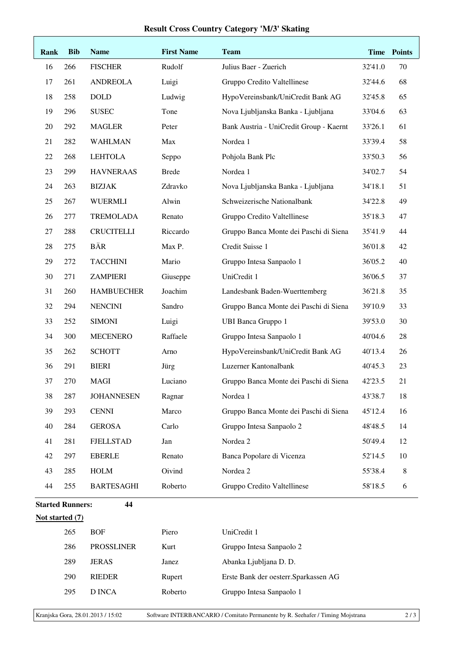## **Result Cross Country Category 'M/3' Skating**

| Rank                    | <b>Bib</b> | <b>Name</b>       | <b>First Name</b> | <b>Team</b>                             | <b>Time</b> | <b>Points</b> |
|-------------------------|------------|-------------------|-------------------|-----------------------------------------|-------------|---------------|
| 16                      | 266        | <b>FISCHER</b>    | Rudolf            | Julius Baer - Zuerich                   | 32'41.0     | 70            |
| 17                      | 261        | <b>ANDREOLA</b>   | Luigi             | Gruppo Credito Valtellinese             | 32'44.6     | 68            |
| 18                      | 258        | <b>DOLD</b>       | Ludwig            | HypoVereinsbank/UniCredit Bank AG       | 32'45.8     | 65            |
| 19                      | 296        | <b>SUSEC</b>      | Tone              | Nova Ljubljanska Banka - Ljubljana      | 33'04.6     | 63            |
| 20                      | 292        | <b>MAGLER</b>     | Peter             | Bank Austria - UniCredit Group - Kaernt | 33'26.1     | 61            |
| 21                      | 282        | <b>WAHLMAN</b>    | Max               | Nordea 1                                | 33'39.4     | 58            |
| 22                      | 268        | <b>LEHTOLA</b>    | Seppo             | Pohjola Bank Plc                        | 33'50.3     | 56            |
| 23                      | 299        | <b>HAVNERAAS</b>  | <b>Brede</b>      | Nordea 1                                | 34'02.7     | 54            |
| 24                      | 263        | <b>BIZJAK</b>     | Zdravko           | Nova Ljubljanska Banka - Ljubljana      | 34'18.1     | 51            |
| 25                      | 267        | <b>WUERMLI</b>    | Alwin             | Schweizerische Nationalbank             | 34'22.8     | 49            |
| 26                      | 277        | <b>TREMOLADA</b>  | Renato            | Gruppo Credito Valtellinese             | 35'18.3     | 47            |
| 27                      | 288        | <b>CRUCITELLI</b> | Riccardo          | Gruppo Banca Monte dei Paschi di Siena  | 35'41.9     | 44            |
| 28                      | 275        | <b>BÄR</b>        | Max P.            | Credit Suisse 1                         | 36'01.8     | 42            |
| 29                      | 272        | <b>TACCHINI</b>   | Mario             | Gruppo Intesa Sanpaolo 1                | 36'05.2     | 40            |
| 30                      | 271        | <b>ZAMPIERI</b>   | Giuseppe          | UniCredit 1                             | 36'06.5     | 37            |
| 31                      | 260        | <b>HAMBUECHER</b> | Joachim           | Landesbank Baden-Wuerttemberg           | 36'21.8     | 35            |
| 32                      | 294        | <b>NENCINI</b>    | Sandro            | Gruppo Banca Monte dei Paschi di Siena  | 39'10.9     | 33            |
| 33                      | 252        | <b>SIMONI</b>     | Luigi             | <b>UBI Banca Gruppo 1</b>               | 39'53.0     | 30            |
| 34                      | 300        | <b>MECENERO</b>   | Raffaele          | Gruppo Intesa Sanpaolo 1                | 40'04.6     | 28            |
| 35                      | 262        | <b>SCHOTT</b>     | Arno              | HypoVereinsbank/UniCredit Bank AG       | 40'13.4     | 26            |
| 36                      | 291        | <b>BIERI</b>      | Jürg              | Luzerner Kantonalbank                   | 40'45.3     | 23            |
| 37                      | 270        | MAGI              | Luciano           | Gruppo Banca Monte dei Paschi di Siena  | 42'23.5     | 21            |
| 38                      | 287        | <b>JOHANNESEN</b> | Ragnar            | Nordea 1                                | 43'38.7     | 18            |
| 39                      | 293        | <b>CENNI</b>      | Marco             | Gruppo Banca Monte dei Paschi di Siena  | 45'12.4     | 16            |
| 40                      | 284        | <b>GEROSA</b>     | Carlo             | Gruppo Intesa Sanpaolo 2                | 48'48.5     | 14            |
| 41                      | 281        | <b>FJELLSTAD</b>  | Jan               | Nordea 2                                | 50'49.4     | 12            |
| 42                      | 297        | <b>EBERLE</b>     | Renato            | Banca Popolare di Vicenza               | 52'14.5     | 10            |
| 43                      | 285        | <b>HOLM</b>       | Oivind            | Nordea 2                                | 55'38.4     | 8             |
| 44                      | 255        | <b>BARTESAGHI</b> | Roberto           | Gruppo Credito Valtellinese             | 58'18.5     | 6             |
| <b>Started Runners:</b> |            | 44                |                   |                                         |             |               |
| Not started (7)         |            |                   |                   |                                         |             |               |
|                         | 265        | <b>BOF</b>        | Piero             | UniCredit 1                             |             |               |
|                         | 286        | <b>PROSSLINER</b> | Kurt              | Gruppo Intesa Sanpaolo 2                |             |               |
|                         | 289        | <b>JERAS</b>      | Janez             | Abanka Ljubljana D. D.                  |             |               |
|                         | 290        | <b>RIEDER</b>     | Rupert            | Erste Bank der oesterr. Sparkassen AG   |             |               |
|                         | 295        | <b>D</b> INCA     | Roberto           | Gruppo Intesa Sanpaolo 1                |             |               |